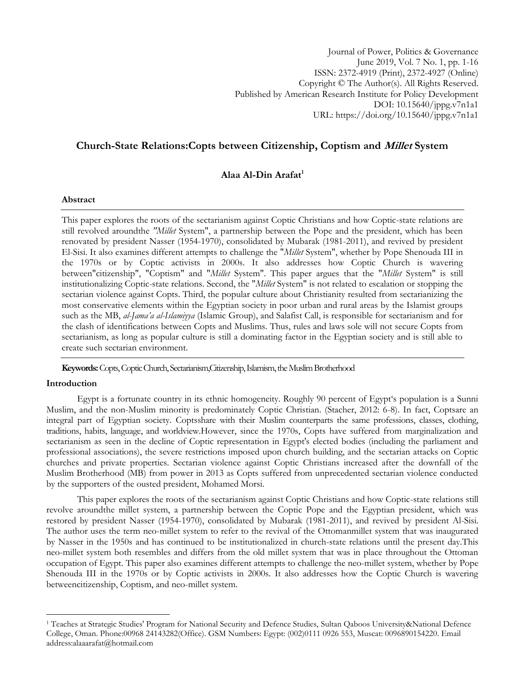# **Church-State Relations:Copts between Citizenship, Coptism and Millet System**

# **Alaa Al-Din Arafat<sup>1</sup>**

# **Abstract**

This paper explores the roots of the sectarianism against Coptic Christians and how Coptic-state relations are still revolved aroundthe *"Millet* System", a partnership between the Pope and the president, which has been renovated by president Nasser (1954-1970), consolidated by Mubarak (1981-2011), and revived by president El-Sisi. It also examines different attempts to challenge the "*Millet* System", whether by Pope Shenouda III in the 1970s or by Coptic activists in 2000s. It also addresses how Coptic Church is wavering between"citizenship", "Coptism" and "*Millet* System". This paper argues that the "*Millet* System" is still institutionalizing Coptic-state relations. Second, the "*Millet* System" is not related to escalation or stopping the sectarian violence against Copts. Third, the popular culture about Christianity resulted from sectarianizing the most conservative elements within the Egyptian society in poor urban and rural areas by the Islamist groups such as the MB, *al-Jama'a al-Islamiyya* (Islamic Group), and Salafist Call, is responsible for sectarianism and for the clash of identifications between Copts and Muslims. Thus, rules and laws sole will not secure Copts from sectarianism, as long as popular culture is still a dominating factor in the Egyptian society and is still able to create such sectarian environment.

Keywords: Copts, Coptic Church, Sectarianism,Citizenship, Islamism, the Muslim Brotherhood

# **Introduction**

l

Egypt is a fortunate country in its ethnic homogeneity. Roughly 90 percent of Egypt's population is a Sunni Muslim, and the non-Muslim minority is predominately Coptic Christian. (Stacher, 2012: 6-8). In fact, Coptsare an integral part of Egyptian society. Coptsshare with their Muslim counterparts the same professions, classes, clothing, traditions, habits, language, and worldview.However, since the 1970s, Copts have suffered from marginalization and sectarianism as seen in the decline of Coptic representation in Egypt's elected bodies (including the parliament and professional associations), the severe restrictions imposed upon church building, and the sectarian attacks on Coptic churches and private properties. Sectarian violence against Coptic Christians increased after the downfall of the Muslim Brotherhood (MB) from power in 2013 as Copts suffered from unprecedented sectarian violence conducted by the supporters of the ousted president, Mohamed Morsi.

This paper explores the roots of the sectarianism against Coptic Christians and how Coptic-state relations still revolve aroundthe millet system, a partnership between the Coptic Pope and the Egyptian president, which was restored by president Nasser (1954-1970), consolidated by Mubarak (1981-2011), and revived by president Al-Sisi. The author uses the term neo-millet system to refer to the revival of the Ottomanmillet system that was inaugurated by Nasser in the 1950s and has continued to be institutionalized in church-state relations until the present day.This neo-millet system both resembles and differs from the old millet system that was in place throughout the Ottoman occupation of Egypt. This paper also examines different attempts to challenge the neo-millet system, whether by Pope Shenouda III in the 1970s or by Coptic activists in 2000s. It also addresses how the Coptic Church is wavering betweencitizenship, Coptism, and neo-millet system.

<sup>1</sup> Teaches at Strategic Studies' Program for National Security and Defence Studies, Sultan Qaboos University&National Defence College, Oman. Phone:00968 24143282(Office). GSM Numbers: Egypt: (002)0111 0926 553, Muscat: 0096890154220. Email address:alaaarafat@hotmail.com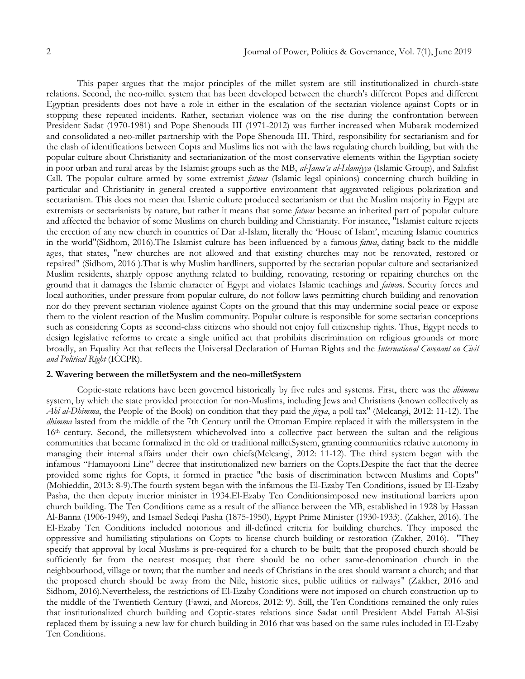This paper argues that the major principles of the millet system are still institutionalized in church-state relations. Second, the neo-millet system that has been developed between the church's different Popes and different Egyptian presidents does not have a role in either in the escalation of the sectarian violence against Copts or in stopping these repeated incidents. Rather, sectarian violence was on the rise during the confrontation between President Sadat (1970-1981) and Pope Shenouda III (1971-2012) was further increased when Mubarak modernized and consolidated a neo-millet partnership with the Pope Shenouda III. Third, responsibility for sectarianism and for the clash of identifications between Copts and Muslims lies not with the laws regulating church building, but with the popular culture about Christianity and sectarianization of the most conservative elements within the Egyptian society in poor urban and rural areas by the Islamist groups such as the MB, *al-Jama'a al-Islamiyya* (Islamic Group), and Salafist Call. The popular culture armed by some extremist *fatwas* (Islamic legal opinions) concerning church building in particular and Christianity in general created a supportive environment that aggravated religious polarization and sectarianism. This does not mean that Islamic culture produced sectarianism or that the Muslim majority in Egypt are extremists or sectarianists by nature, but rather it means that some *fatwas* became an inherited part of popular culture and affected the behavior of some Muslims on church building and Christianity. For instance, "Islamist culture rejects the erection of any new church in countries of Dar al-Islam, literally the ‗House of Islam', meaning Islamic countries in the world"(Sidhom, 2016).The Islamist culture has been influenced by a famous *fatwa*, dating back to the middle ages, that states, "new churches are not allowed and that existing churches may not be renovated, restored or repaired" (Sidhom, 2016 ).That is why Muslim hardliners, supported by the sectarian popular culture and sectarianized Muslim residents, sharply oppose anything related to building, renovating, restoring or repairing churches on the ground that it damages the Islamic character of Egypt and violates Islamic teachings and *fatwa*s. Security forces and local authorities, under pressure from popular culture, do not follow laws permitting church building and renovation nor do they prevent sectarian violence against Copts on the ground that this may undermine social peace or expose them to the violent reaction of the Muslim community. Popular culture is responsible for some sectarian conceptions such as considering Copts as second-class citizens who should not enjoy full citizenship rights. Thus, Egypt needs to design legislative reforms to create a single unified act that prohibits discrimination on religious grounds or more broadly, an Equality Act that reflects the Universal Declaration of Human Rights and the *International Covenant on Civil and Political Right* (ICCPR).

# **2. Wavering between the milletSystem and the neo-milletSystem**

Coptic-state relations have been governed historically by five rules and systems. First, there was the *dhimma* system, by which the state provided protection for non-Muslims, including Jews and Christians (known collectively as *Ahl al-Dhimma*, the People of the Book) on condition that they paid the *jizya*, a poll tax" (Melcangi, 2012: 11-12). The *dhimma* lasted from the middle of the 7th Century until the Ottoman Empire replaced it with the milletsystem in the 16th century. Second, the milletsystem whichevolved into a collective pact between the sultan and the religious communities that became formalized in the old or traditional milletSystem, granting communities relative autonomy in managing their internal affairs under their own chiefs(Melcangi, 2012: 11-12). The third system began with the infamous "Hamayooni Line" decree that institutionalized new barriers on the Copts.Despite the fact that the decree provided some rights for Copts, it formed in practice "the basis of discrimination between Muslims and Copts" (Mohieddin, 2013: 8-9).The fourth system began with the infamous the El-Ezaby Ten Conditions, issued by El-Ezaby Pasha, the then deputy interior minister in 1934.El-Ezaby Ten Conditionsimposed new institutional barriers upon church building. The Ten Conditions came as a result of the alliance between the MB, established in 1928 by Hassan Al-Banna (1906-1949), and Ismael Sedeqi Pasha (1875-1950), Egypt Prime Minister (1930-1933). (Zakher, 2016). The El-Ezaby Ten Conditions included notorious and ill-defined criteria for building churches. They imposed the oppressive and humiliating stipulations on Copts to license church building or restoration (Zakher, 2016). "They specify that approval by local Muslims is pre-required for a church to be built; that the proposed church should be sufficiently far from the nearest mosque; that there should be no other same-denomination church in the neighbourhood, village or town; that the number and needs of Christians in the area should warrant a church; and that the proposed church should be away from the Nile, historic sites, public utilities or railways" (Zakher, 2016 and Sidhom, 2016).Nevertheless, the restrictions of El-Ezaby Conditions were not imposed on church construction up to the middle of the Twentieth Century (Fawzi, and Morcos, 2012: 9). Still, the Ten Conditions remained the only rules that institutionalized church building and Coptic-states relations since Sadat until President Abdel Fattah Al-Sisi replaced them by issuing a new law for church building in 2016 that was based on the same rules included in El-Ezaby Ten Conditions.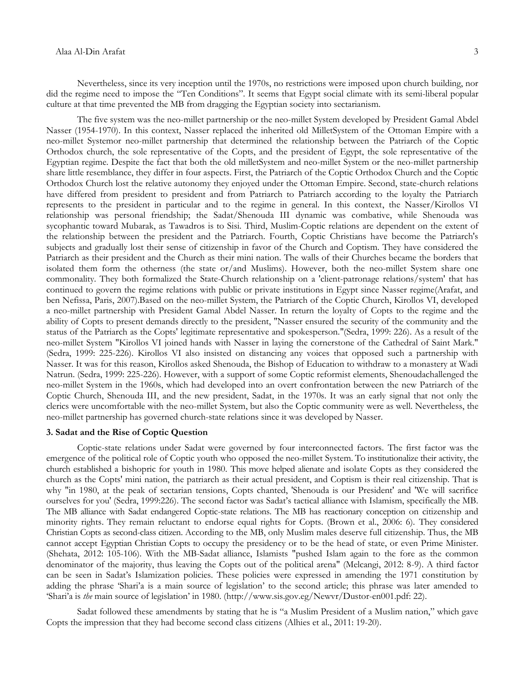Nevertheless, since its very inception until the 1970s, no restrictions were imposed upon church building, nor did the regime need to impose the "Ten Conditions". It seems that Egypt social climate with its semi-liberal popular culture at that time prevented the MB from dragging the Egyptian society into sectarianism.

The five system was the neo-millet partnership or the neo-millet System developed by President Gamal Abdel Nasser (1954-1970). In this context, Nasser replaced the inherited old MilletSystem of the Ottoman Empire with a neo-millet Systemor neo-millet partnership that determined the relationship between the Patriarch of the Coptic Orthodox church, the sole representative of the Copts, and the president of Egypt, the sole representative of the Egyptian regime. Despite the fact that both the old milletSystem and neo-millet System or the neo-millet partnership share little resemblance, they differ in four aspects. First, the Patriarch of the Coptic Orthodox Church and the Coptic Orthodox Church lost the relative autonomy they enjoyed under the Ottoman Empire. Second, state-church relations have differed from president to president and from Patriarch to Patriarch according to the loyalty the Patriarch represents to the president in particular and to the regime in general. In this context, the Nasser/Kirollos VI relationship was personal friendship; the Sadat/Shenouda III dynamic was combative, while Shenouda was sycophantic toward Mubarak, as Tawadros is to Sisi. Third, Muslim-Coptic relations are dependent on the extent of the relationship between the president and the Patriarch. Fourth, Coptic Christians have become the Patriarch's subjects and gradually lost their sense of citizenship in favor of the Church and Coptism. They have considered the Patriarch as their president and the Church as their mini nation. The walls of their Churches became the borders that isolated them form the otherness (the state or/and Muslims). However, both the neo-millet System share one commonality. They both formalized the State-Church relationship on a 'client-patronage relations/system' that has continued to govern the regime relations with public or private institutions in Egypt since Nasser regime(Arafat, and ben Nefissa, Paris, 2007).Based on the neo-millet System, the Patriarch of the Coptic Church, Kirollos VI, developed a neo-millet partnership with President Gamal Abdel Nasser. In return the loyalty of Copts to the regime and the ability of Copts to present demands directly to the president, "Nasser ensured the security of the community and the status of the Patriarch as the Copts' legitimate representative and spokesperson."(Sedra, 1999: 226). As a result of the neo-millet System "Kirollos VI joined hands with Nasser in laying the cornerstone of the Cathedral of Saint Mark." (Sedra, 1999: 225-226). Kirollos VI also insisted on distancing any voices that opposed such a partnership with Nasser. It was for this reason, Kirollos asked Shenouda, the Bishop of Education to withdraw to a monastery at Wadi Natrun. (Sedra, 1999: 225-226). However, with a support of some Coptic reformist elements, Shenoudachallenged the neo-millet System in the 1960s, which had developed into an overt confrontation between the new Patriarch of the Coptic Church, Shenouda III, and the new president, Sadat, in the 1970s. It was an early signal that not only the clerics were uncomfortable with the neo-millet System, but also the Coptic community were as well. Nevertheless, the neo-millet partnership has governed church-state relations since it was developed by Nasser.

#### **3. Sadat and the Rise of Coptic Question**

Coptic-state relations under Sadat were governed by four interconnected factors. The first factor was the emergence of the political role of Coptic youth who opposed the neo-millet System. To institutionalize their activity, the church established a bishopric for youth in 1980. This move helped alienate and isolate Copts as they considered the church as the Copts' mini nation, the patriarch as their actual president, and Coptism is their real citizenship. That is why "in 1980, at the peak of sectarian tensions, Copts chanted, 'Shenouda is our President' and 'We will sacrifice ourselves for you' (Sedra, 1999:226). The second factor was Sadat's tactical alliance with Islamism, specifically the MB. The MB alliance with Sadat endangered Coptic-state relations. The MB has reactionary conception on citizenship and minority rights. They remain reluctant to endorse equal rights for Copts. (Brown et al., 2006: 6). They considered Christian Copts as second-class citizen. According to the MB, only Muslim males deserve full citizenship. Thus, the MB cannot accept Egyptian Christian Copts to occupy the presidency or to be the head of state, or even Prime Minister. (Shehata, 2012: 105-106). With the MB-Sadat alliance, Islamists "pushed Islam again to the fore as the common denominator of the majority, thus leaving the Copts out of the political arena" (Melcangi, 2012: 8-9). A third factor can be seen in Sadat's Islamization policies. These policies were expressed in amending the 1971 constitution by adding the phrase 'Shari'a is a main source of legislation' to the second article; this phrase was later amended to ‗Shari'a is *the* main source of legislation' in 1980. ([http://www.sis.gov.eg/Newvr/Dustor-en001.pdf:](http://www.sis.gov.eg/Newvr/Dustor-en001.pdf) 22).

Sadat followed these amendments by stating that he is "a Muslim President of a Muslim nation," which gave Copts the impression that they had become second class citizens (Alhies et al., 2011: 19-20).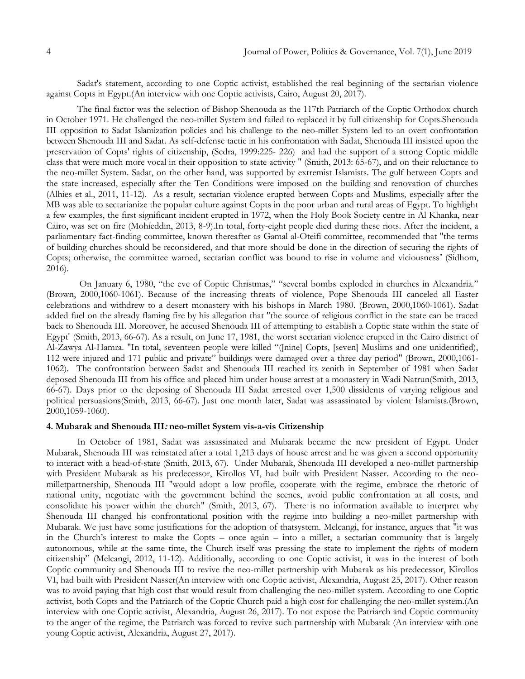Sadat's statement, according to one Coptic activist, established the real beginning of the sectarian violence against Copts in Egypt.(An interview with one Coptic activists, Cairo, August 20, 2017).

The final factor was the selection of Bishop Shenouda as the 117th Patriarch of the Coptic Orthodox church in October 1971. He challenged the neo-millet System and failed to replaced it by full citizenship for Copts.Shenouda III opposition to Sadat Islamization policies and his challenge to the neo-millet System led to an overt confrontation between Shenouda III and Sadat. As self-defense tactic in his confrontation with Sadat, Shenouda III insisted upon the preservation of Copts' rights of citizenship, (Sedra, 1999:225- 226) and had the support of a strong Coptic middle class that were much more vocal in their opposition to state activity " (Smith, 2013: 65-67), and on their reluctance to the neo-millet System. Sadat, on the other hand, was supported by extremist Islamists. The gulf between Copts and the state increased, especially after the Ten Conditions were imposed on the building and renovation of churches (Alhies et al., 2011, 11-12). As a result, sectarian violence erupted between Copts and Muslims, especially after the MB was able to sectarianize the popular culture against Copts in the poor urban and rural areas of Egypt. To highlight a few examples, the first significant incident erupted in 1972, when the Holy Book Society centre in Al Khanka, near Cairo, was set on fire (Mohieddin, 2013, 8-9).In total, forty-eight people died during these riots. After the incident, a parliamentary fact-finding committee, known thereafter as Gamal al-Oteifi committee, recommended that "the terms of building churches should be reconsidered, and that more should be done in the direction of securing the rights of Copts; otherwise, the committee warned, sectarian conflict was bound to rise in volume and viciousness" (Sidhom, 2016).

On January 6, 1980, "the eve of Coptic Christmas," "several bombs exploded in churches in Alexandria." (Brown, 2000,1060-1061). Because of the increasing threats of violence, Pope Shenouda III canceled all Easter celebrations and withdrew to a desert monastery with his bishops in March 1980. (Brown, 2000,1060-1061). Sadat added fuel on the already flaming fire by his allegation that "the source of religious conflict in the state can be traced back to Shenouda III. Moreover, he accused Shenouda III of attempting to establish a Coptic state within the state of Egypt" (Smith, 2013, 66-67). As a result, on June 17, 1981, the worst sectarian violence erupted in the Cairo district of Al-Zawya Al-Hamra. "In total, seventeen people were killed "([nine] Copts, [seven] Muslims and one unidentified), 112 were injured and 171 public and private" buildings were damaged over a three day period" (Brown, 2000,1061-1062). The confrontation between Sadat and Shenouda III reached its zenith in September of 1981 when Sadat deposed Shenouda III from his office and placed him under house arrest at a monastery in Wadi Natrun(Smith, 2013, 66-67). Days prior to the deposing of Shenouda III Sadat arrested over 1,500 dissidents of varying religious and political persuasions(Smith, 2013, 66-67). Just one month later, Sadat was assassinated by violent Islamists.(Brown, 2000,1059-1060).

### **4. Mubarak and Shenouda III: neo-millet System vis-a-vis Citizenship**

In October of 1981, Sadat was assassinated and Mubarak became the new president of Egypt. Under Mubarak, Shenouda III was reinstated after a total 1,213 days of house arrest and he was given a second opportunity to interact with a head-of-state (Smith, 2013, 67). Under Mubarak, Shenouda III developed a neo-millet partnership with President Mubarak as his predecessor, Kirollos VI, had built with President Nasser. According to the neomilletpartnership, Shenouda III "would adopt a low profile, cooperate with the regime, embrace the rhetoric of national unity, negotiate with the government behind the scenes, avoid public confrontation at all costs, and consolidate his power within the church" (Smith, 2013, 67). There is no information available to interpret why Shenouda III changed his confrontational position with the regime into building a neo-millet partnership with Mubarak. We just have some justifications for the adoption of thatsystem. Melcangi, for instance, argues that "it was in the Church's interest to make the Copts – once again – into a millet, a sectarian community that is largely autonomous, while at the same time, the Church itself was pressing the state to implement the rights of modern citizenship‖ (Melcangi, 2012, 11-12). Additionally, according to one Coptic activist, it was in the interest of both Coptic community and Shenouda III to revive the neo-millet partnership with Mubarak as his predecessor, Kirollos VI, had built with President Nasser(An interview with one Coptic activist, Alexandria, August 25, 2017). Other reason was to avoid paying that high cost that would result from challenging the neo-millet system. According to one Coptic activist, both Copts and the Patriarch of the Coptic Church paid a high cost for challenging the neo-millet system.(An interview with one Coptic activist, Alexandria, August 26, 2017). To not expose the Patriarch and Coptic community to the anger of the regime, the Patriarch was forced to revive such partnership with Mubarak (An interview with one young Coptic activist, Alexandria, August 27, 2017).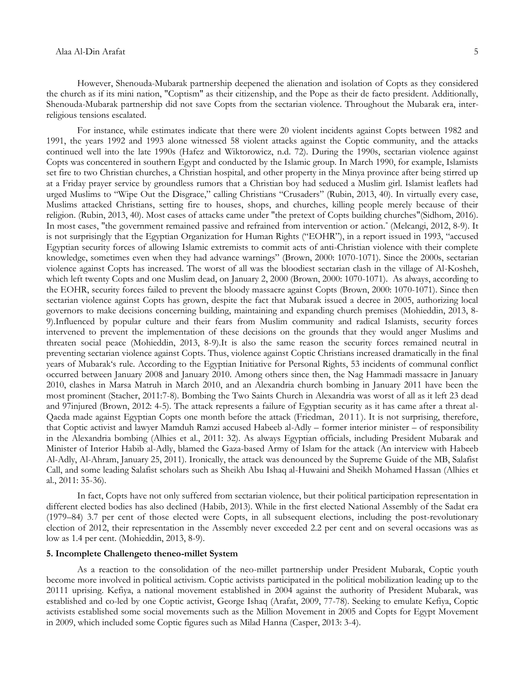However, Shenouda-Mubarak partnership deepened the alienation and isolation of Copts as they considered the church as if its mini nation, "Coptism" as their citizenship, and the Pope as their de facto president. Additionally, Shenouda-Mubarak partnership did not save Copts from the sectarian violence. Throughout the Mubarak era, interreligious tensions escalated.

For instance, while estimates indicate that there were 20 violent incidents against Copts between 1982 and 1991, the years 1992 and 1993 alone witnessed 58 violent attacks against the Coptic community, and the attacks continued well into the late 1990s (Hafez and Wiktorowicz, n.d. 72). During the 1990s, sectarian violence against Copts was concentered in southern Egypt and conducted by the Islamic group. In March 1990, for example, Islamists set fire to two Christian churches, a Christian hospital, and other property in the Minya province after being stirred up at a Friday prayer service by groundless rumors that a Christian boy had seduced a Muslim girl. Islamist leaflets had urged Muslims to "Wipe Out the Disgrace," calling Christians "Crusaders" (Rubin, 2013, 40). In virtually every case, Muslims attacked Christians, setting fire to houses, shops, and churches, killing people merely because of their religion. (Rubin, 2013, 40). Most cases of attacks came under "the pretext of Copts building churches"(Sidhom, 2016). In most cases, "the government remained passive and refrained from intervention or action." (Melcangi, 2012, 8-9). It is not surprisingly that the Egyptian Organization for Human Rights ("EOHR"), in a report issued in 1993, "accused Egyptian security forces of allowing Islamic extremists to commit acts of anti-Christian violence with their complete knowledge, sometimes even when they had advance warnings" (Brown, 2000: 1070-1071). Since the 2000s, sectarian violence against Copts has increased. The worst of all was the bloodiest sectarian clash in the village of Al-Kosheh, which left twenty Copts and one Muslim dead, on January 2, 2000 (Brown, 2000: 1070-1071). As always, according to the EOHR, security forces failed to prevent the bloody massacre against Copts (Brown, 2000: 1070-1071). Since then sectarian violence against Copts has grown, despite the fact that Mubarak issued a decree in 2005, authorizing local governors to make decisions concerning building, maintaining and expanding church premises (Mohieddin, 2013, 8- 9).Influenced by popular culture and their fears from Muslim community and radical Islamists, security forces intervened to prevent the implementation of these decisions on the grounds that they would anger Muslims and threaten social peace (Mohieddin, 2013, 8-9).It is also the same reason the security forces remained neutral in preventing sectarian violence against Copts. Thus, violence against Coptic Christians increased dramatically in the final years of Mubarak‗s rule. According to the Egyptian Initiative for Personal Rights, 53 incidents of communal conflict occurred between January 2008 and January 2010. Among others since then, the Nag Hammadi massacre in January 2010, clashes in Marsa Matruh in March 2010, and an Alexandria church bombing in January 2011 have been the most prominent (Stacher, 2011:7-8). Bombing the Two Saints Church in Alexandria was worst of all as it left 23 dead and 97injured (Brown, 2012: 4-5). The attack represents a failure of Egyptian security as it has came after a threat al-Qaeda made against Egyptian Copts one month before the attack (Friedman, 2011). It is not surprising, therefore, that Coptic activist and lawyer Mamduh Ramzi accused Habeeb al-Adly – former interior minister – of responsibility in the Alexandria bombing (Alhies et al., 2011: 32). As always Egyptian officials, including President Mubarak and Minister of Interior Habib al-Adly, blamed the Gaza-based Army of Islam for the attack (An interview with Habeeb Al-Adly, Al-Ahram, January 25, 2011). Ironically, the attack was denounced by the Supreme Guide of the MB, Salafist Call, and some leading Salafist scholars such as Sheikh Abu Ishaq al-Huwaini and Sheikh Mohamed Hassan (Alhies et al., 2011: 35-36).

In fact, Copts have not only suffered from sectarian violence, but their political participation representation in different elected bodies has also declined (Habib, 2013). While in the first elected National Assembly of the Sadat era (1979–84) 3.7 per cent of those elected were Copts, in all subsequent elections, including the post-revolutionary election of 2012, their representation in the Assembly never exceeded 2.2 per cent and on several occasions was as low as 1.4 per cent. (Mohieddin, 2013, 8-9).

#### **5. Incomplete Challengeto theneo-millet System**

As a reaction to the consolidation of the neo-millet partnership under President Mubarak, Coptic youth become more involved in political activism. Coptic activists participated in the political mobilization leading up to the 20111 uprising. Kefiya, a national movement established in 2004 against the authority of President Mubarak, was established and co-led by one Coptic activist, George Ishaq (Arafat, 2009, 77-78). Seeking to emulate Kefiya, Coptic activists established some social movements such as the Million Movement in 2005 and Copts for Egypt Movement in 2009, which included some Coptic figures such as Milad Hanna (Casper, 2013: 3-4).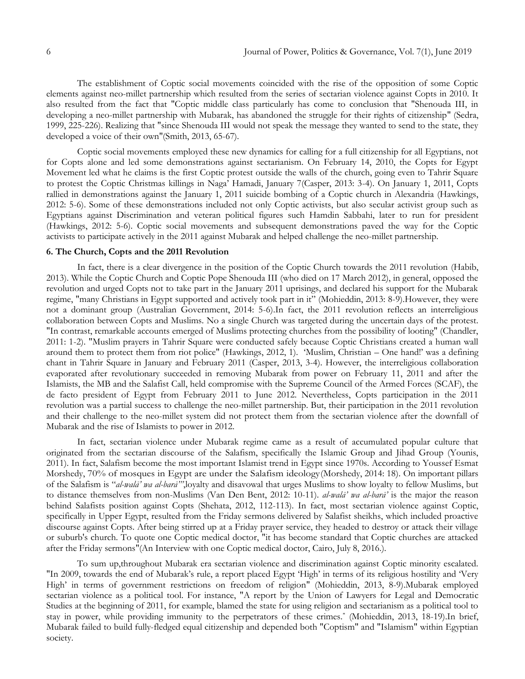The establishment of Coptic social movements coincided with the rise of the opposition of some Coptic elements against neo-millet partnership which resulted from the series of sectarian violence against Copts in 2010. It also resulted from the fact that "Coptic middle class particularly has come to conclusion that "Shenouda III, in developing a neo-millet partnership with Mubarak, has abandoned the struggle for their rights of citizenship" (Sedra, 1999, 225-226). Realizing that "since Shenouda III would not speak the message they wanted to send to the state, they developed a voice of their own"(Smith, 2013, 65-67).

Coptic social movements employed these new dynamics for calling for a full citizenship for all Egyptians, not for Copts alone and led some demonstrations against sectarianism. On February 14, 2010, the Copts for Egypt Movement led what he claims is the first Coptic protest outside the walls of the church, going even to Tahrir Square to protest the Coptic Christmas killings in Naga' Hamadi, January 7(Casper, 2013: 3-4). On January 1, 2011, Copts rallied in demonstrations against the January 1, 2011 suicide bombing of a Coptic church in Alexandria (Hawkings, 2012: 5-6). Some of these demonstrations included not only Coptic activists, but also secular activist group such as Egyptians against Discrimination and veteran political figures such Hamdin Sabbahi, later to run for president (Hawkings, 2012: 5-6). Coptic social movements and subsequent demonstrations paved the way for the Coptic activists to participate actively in the 2011 against Mubarak and helped challenge the neo-millet partnership.

# **6. The Church, Copts and the 2011 Revolution**

In fact, there is a clear divergence in the position of the Coptic Church towards the 2011 revolution (Habib, 2013). While the Coptic Church and Coptic Pope Shenouda III (who died on 17 March 2012), in general, opposed the revolution and urged Copts not to take part in the January 2011 uprisings, and declared his support for the Mubarak regime, "many Christians in Egypt supported and actively took part in it" (Mohieddin, 2013: 8-9). However, they were not a dominant group (Australian Government, 2014: 5-6).In fact, the 2011 revolution reflects an interreligious collaboration between Copts and Muslims. No a single Church was targeted during the uncertain days of the protest. "In contrast, remarkable accounts emerged of Muslims protecting churches from the possibility of looting" (Chandler, 2011: 1-2). "Muslim prayers in Tahrir Square were conducted safely because Coptic Christians created a human wall around them to protect them from riot police" (Hawkings, 2012, 1). 'Muslim, Christian – One hand!' was a defining chant in Tahrir Square in January and February 2011 (Casper, 2013, 3-4). However, the interreligious collaboration evaporated after revolutionary succeeded in removing Mubarak from power on February 11, 2011 and after the Islamists, the MB and the Salafist Call, held compromise with the Supreme Council of the Armed Forces (SCAF), the de facto president of Egypt from February 2011 to June 2012. Nevertheless, Copts participation in the 2011 revolution was a partial success to challenge the neo-millet partnership. But, their participation in the 2011 revolution and their challenge to the neo-millet system did not protect them from the sectarian violence after the downfall of Mubarak and the rise of Islamists to power in 2012.

In fact, sectarian violence under Mubarak regime came as a result of accumulated popular culture that originated from the sectarian discourse of the Salafism, specifically the Islamic Group and Jihad Group (Younis, 2011). In fact, Salafism become the most important Islamist trend in Egypt since 1970s. According to Youssef Esmat Morshedy, 70% of mosques in Egypt are under the Salafism ideology(Morshedy, 2014: 18). On important pillars of the Salafism is "al-walā' wa al-barā"',loyalty and disavowal that urges Muslims to show loyalty to fellow Muslims, but to distance themselves from non-Muslims (Van Den Bent, 2012: 10-11). *al-walā' wa al-barā'* is the major the reason behind Salafists position against Copts (Shehata, 2012, 112-113). In fact, most sectarian violence against Coptic, specifically in Upper Egypt, resulted from the Friday sermons delivered by Salafist sheikhs, which included proactive discourse against Copts. After being stirred up at a Friday prayer service, they headed to destroy or attack their village or suburb's church. To quote one Coptic medical doctor, "it has become standard that Coptic churches are attacked after the Friday sermons"(An Interview with one Coptic medical doctor, Cairo, July 8, 2016.).

To sum up,throughout Mubarak era sectarian violence and discrimination against Coptic minority escalated. "In 2009, towards the end of Mubarak's rule, a report placed Egypt ‗High' in terms of its religious hostility and ‗Very High' in terms of government restrictions on freedom of religion" (Mohieddin, 2013, 8-9).Mubarak employed sectarian violence as a political tool. For instance, "A report by the Union of Lawyers for Legal and Democratic Studies at the beginning of 2011, for example, blamed the state for using religion and sectarianism as a political tool to stay in power, while providing immunity to the perpetrators of these crimes." (Mohieddin, 2013, 18-19).In brief, Mubarak failed to build fully-fledged equal citizenship and depended both "Coptism" and "Islamism" within Egyptian society.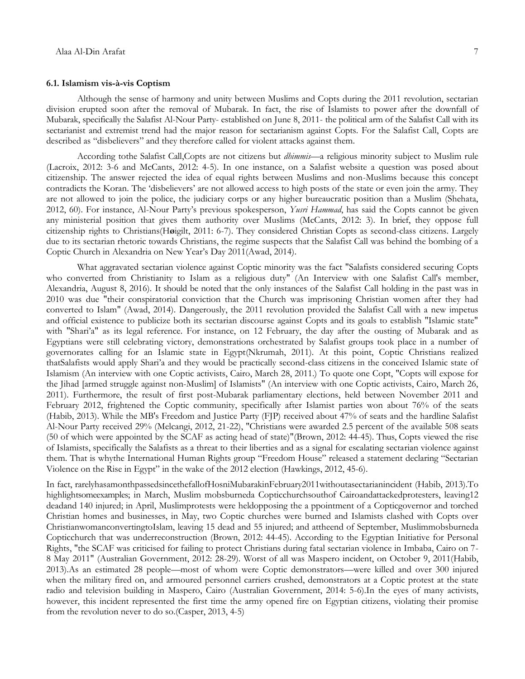#### **6.1. Islamism vis-à-vis Coptism**

Although the sense of harmony and unity between Muslims and Copts during the 2011 revolution, sectarian division erupted soon after the removal of Mubarak. In fact, the rise of Islamists to power after the downfall of Mubarak, specifically the Salafist Al-Nour Party- established on June 8, 2011- the political arm of the Salafist Call with its sectarianist and extremist trend had the major reason for sectarianism against Copts. For the Salafist Call, Copts are described as "disbelievers" and they therefore called for violent attacks against them.

According tothe Salafist Call,Copts are not citizens but *dhimmis*—a religious minority subject to Muslim rule (Lacroix, 2012: 3-6 and McCants, 2012: 4-5). In one instance, on a Salafist website a question was posed about citizenship. The answer rejected the idea of equal rights between Muslims and non-Muslims because this concept contradicts the Koran. The ‗disbelievers' are not allowed access to high posts of the state or even join the army. They are not allowed to join the police, the judiciary corps or any higher bureaucratic position than a Muslim (Shehata, 2012, 60). For instance, Al-Nour Party's previous spokesperson, *Yusri Hammad*, has said the Copts cannot be given any ministerial position that gives them authority over Muslims (McCants, 2012: 3). In brief, they oppose full citizenship rights to Christians(H**ø**igilt, 2011: 6-7). They considered Christian Copts as second-class citizens. Largely due to its sectarian rhetoric towards Christians, the regime suspects that the Salafist Call was behind the bombing of a Coptic Church in Alexandria on New Year's Day 2011(Awad, 2014).

What aggravated sectarian violence against Coptic minority was the fact "Salafists considered securing Copts who converted from Christianity to Islam as a religious duty" (An Interview with one Salafist Call's member, Alexandria, August 8, 2016). It should be noted that the only instances of the Salafist Call holding in the past was in 2010 was due "their conspiratorial conviction that the Church was imprisoning Christian women after they had converted to Islam" (Awad, 2014). Dangerously, the 2011 revolution provided the Salafist Call with a new impetus and official existence to publicize both its sectarian discourse against Copts and its goals to establish "Islamic state" with "Shari'a" as its legal reference. For instance, on 12 February, the day after the ousting of Mubarak and as Egyptians were still celebrating victory, demonstrations orchestrated by Salafist groups took place in a number of governorates calling for an Islamic state in Egypt(Nkrumah, 2011). At this point, Coptic Christians realized thatSalafists would apply Shari'a and they would be practically second-class citizens in the conceived Islamic state of Islamism (An interview with one Coptic activists, Cairo, March 28, 2011.) To quote one Copt, "Copts will expose for the Jihad [armed struggle against non-Muslim] of Islamists" (An interview with one Coptic activists, Cairo, March 26, 2011). Furthermore, the result of first post-Mubarak parliamentary elections, held between November 2011 and February 2012, frightened the Coptic community, specifically after Islamist parties won about 76% of the seats (Habib, 2013). While the MB's Freedom and Justice Party (FJP) received about 47% of seats and the hardline Salafist Al-Nour Party received 29% (Melcangi, 2012, 21-22), "Christians were awarded 2.5 percent of the available 508 seats (50 of which were appointed by the SCAF as acting head of state)"(Brown, 2012: 44-45). Thus, Copts viewed the rise of Islamists, specifically the Salafists as a threat to their liberties and as a signal for escalating sectarian violence against them. That is whythe International Human Rights group "Freedom House" released a statement declaring "Sectarian Violence on the Rise in Egypt" in the wake of the 2012 election (Hawkings, 2012, 45-6).

In fact, rarelyhasamonthpassedsincethefallofHosniMubarakinFebruary2011withoutasectarianincident (Habib, 2013).To highlightsomeexamples; in March, Muslim mobsburneda Copticchurchsouthof Cairoandattackedprotesters, leaving12 deadand 140 injured; in April, Muslimprotests were heldopposing the a ppointment of a Copticgovernor and torched Christian homes and businesses, in May, two Coptic churches were burned and Islamists clashed with Copts over ChristianwomanconvertingtoIslam, leaving 15 dead and 55 injured; and attheend of September, Muslimmobsburneda Copticchurch that was underreconstruction (Brown, 2012: 44-45). According to the Egyptian Initiative for Personal Rights, "the SCAF was criticised for failing to protect Christians during fatal sectarian violence in Imbaba, Cairo on 7- 8 May 2011" (Australian Government, 2012: 28-29). Worst of all was Maspero incident, on October 9, 2011(Habib, 2013).As an estimated 28 people—most of whom were Coptic demonstrators—were killed and over 300 injured when the military fired on, and armoured personnel carriers crushed, demonstrators at a Coptic protest at the state radio and television building in Maspero, Cairo (Australian Government, 2014: 5-6).In the eyes of many activists, however, this incident represented the first time the army opened fire on Egyptian citizens, violating their promise from the revolution never to do so.(Casper, 2013, 4-5)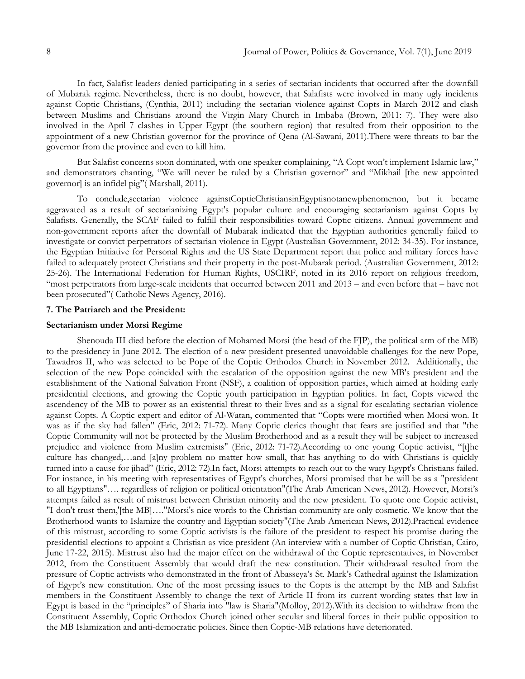In fact, Salafist leaders denied participating in a series of sectarian incidents that occurred after the downfall of Mubarak regime. Nevertheless, there is no doubt, however, that Salafists were involved in many ugly incidents against Coptic Christians, (Cynthia, 2011) including the sectarian violence against Copts in March 2012 and clash between Muslims and Christians around the Virgin Mary Church in Imbaba (Brown, 2011: 7). They were also involved in the April 7 clashes in Upper Egypt (the southern region) that resulted from their opposition to the appointment of a new Christian governor for the province of Qena (Al-Sawani, 2011).There were threats to bar the governor from the province and even to kill him.

But Salafist concerns soon dominated, with one speaker complaining, "A Copt won't implement Islamic law," and demonstrators chanting, "We will never be ruled by a Christian governor" and "Mikhail [the new appointed governor] is an infidel pig" (Marshall, 2011).

To conclude,sectarian violence againstCopticChristiansinEgyptisnotanewphenomenon, but it became aggravated as a result of sectarianizing Egypt's popular culture and encouraging sectarianism against Copts by Salafists. Generally, the SCAF failed to fulfill their responsibilities toward Coptic citizens. Annual government and non-government reports after the downfall of Mubarak indicated that the Egyptian authorities generally failed to investigate or convict perpetrators of sectarian violence in Egypt (Australian Government, 2012: 34-35). For instance, the Egyptian Initiative for Personal Rights and the US State Department report that police and military forces have failed to adequately protect Christians and their property in the post-Mubarak period. (Australian Government, 2012: 25-26). The International Federation for Human Rights, USCIRF, noted in its 2016 report on religious freedom, "most perpetrators from large-scale incidents that occurred between  $2011$  and  $2013$  – and even before that – have not been prosecuted" ([Catholic](http://www.angelusnews.com/author?author=Catholic+News+Agency) News Agency, 2016).

#### **7. The Patriarch and the President:**

### **Sectarianism under Morsi Regime**

Shenouda III died before the election of Mohamed Morsi (the head of the FJP), the political arm of the MB) to the presidency in June 2012. The election of a new president presented unavoidable challenges for the new Pope, Tawadros II, who was selected to be Pope of the Coptic Orthodox Church in November 2012. Additionally, the selection of the new Pope coincided with the escalation of the opposition against the new MB's president and the establishment of the National Salvation Front (NSF), a coalition of opposition parties, which aimed at holding early presidential elections, and growing the Coptic youth participation in Egyptian politics. In fact, Copts viewed the ascendency of the MB to power as an existential threat to their lives and as a signal for escalating sectarian violence against Copts. A Coptic expert and editor of Al-Watan, commented that "Copts were mortified when Morsi won. It was as if the sky had fallen" (Eric, 2012: 71-72). Many Coptic clerics thought that fears are justified and that "the Coptic Community will not be protected by the Muslim Brotherhood and as a result they will be subject to increased prejudice and violence from Muslim extremists" (Eric, 2012: 71-72). According to one young Coptic activist, "[t]he culture has changed,…and [a]ny problem no matter how small, that has anything to do with Christians is quickly turned into a cause for jihad" (Eric, 2012: 72).In fact, Morsi attempts to reach out to the wary Egypt's Christians failed. For instance, in his meeting with representatives of Egypt's churches, Morsi promised that he will be as a "president to all Egyptians"…. regardless of religion or political orientation"(The Arab American News, 2012). However, Morsi's attempts failed as result of mistrust between Christian minority and the new president. To quote one Coptic activist, "I don't trust them,'[the MB]…."Morsi's nice words to the Christian community are only cosmetic. We know that the Brotherhood wants to Islamize the country and Egyptian society"(The Arab American News, 2012).Practical evidence of this mistrust, according to some Coptic activists is the failure of the president to respect his promise during the presidential elections to appoint a Christian as vice president (An interview with a number of Coptic Christian, Cairo, June 17-22, 2015). Mistrust also had the major effect on the withdrawal of the Coptic representatives, in November 2012, from the Constituent Assembly that would draft the new constitution. Their withdrawal resulted from the pressure of Coptic activists who demonstrated in the front of Abasseya's St. Mark's Cathedral against the Islamization of Egypt's new constitution. One of the most pressing issues to the Copts is the attempt by the MB and Salafist members in the Constituent Assembly to change the text of Article II from its current wording states that law in Egypt is based in the "principles" of Sharia into "law is Sharia"(Molloy, 2012). With its decision to withdraw from the Constituent Assembly, Coptic Orthodox Church joined other secular and liberal forces in their public opposition to the MB Islamization and anti-democratic policies. Since then Coptic-MB relations have deteriorated.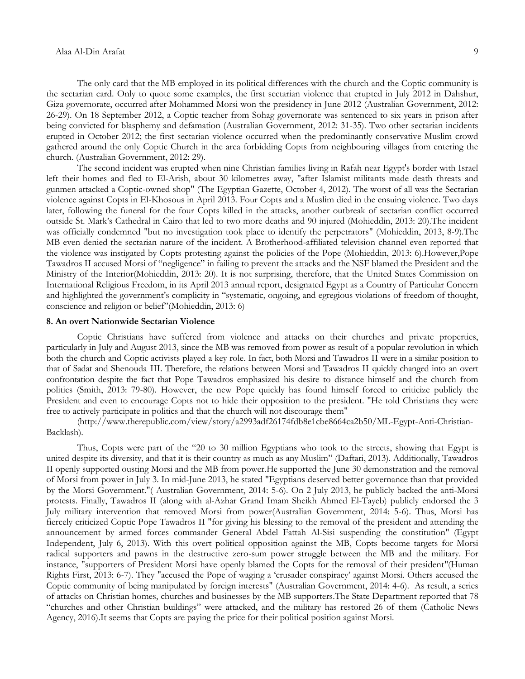The only card that the MB employed in its political differences with the church and the Coptic community is the sectarian card. Only to quote some examples, the first sectarian violence that erupted in July 2012 in Dahshur, Giza governorate, occurred after Mohammed Morsi won the presidency in June 2012 (Australian Government, 2012: 26-29). On 18 September 2012, a Coptic teacher from Sohag governorate was sentenced to six years in prison after being convicted for blasphemy and defamation (Australian Government, 2012: 31-35). Two other sectarian incidents erupted in October 2012; the first sectarian violence occurred when the predominantly conservative Muslim crowd gathered around the only Coptic Church in the area forbidding Copts from neighbouring villages from entering the church. (Australian Government, 2012: 29).

The second incident was erupted when nine Christian families living in Rafah near Egypt's border with Israel left their homes and fled to El-Arish, about 30 kilometres away, "after Islamist militants made death threats and gunmen attacked a Coptic-owned shop" (The Egyptian Gazette, October 4, 2012). The worst of all was the Sectarian violence against Copts in El-Khosous in April 2013. Four Copts and a Muslim died in the ensuing violence. Two days later, following the funeral for the four Copts killed in the attacks, another outbreak of sectarian conflict occurred outside St. Mark's Cathedral in Cairo that led to two more deaths and 90 injured (Mohieddin, 2013: 20).The incident was officially condemned "but no investigation took place to identify the perpetrators" (Mohieddin, 2013, 8-9).The MB even denied the sectarian nature of the incident. A Brotherhood-affiliated television channel even reported that the violence was instigated by Copts protesting against the policies of the Pope (Mohieddin, 2013: 6).However,Pope Tawadros II accused Morsi of "negligence" in failing to prevent the attacks and the NSF blamed the President and the Ministry of the Interior(Mohieddin, 2013: 20). It is not surprising, therefore, that the United States Commission on International Religious Freedom, in its April 2013 annual report, designated Egypt as a Country of Particular Concern and highlighted the government's complicity in "systematic, ongoing, and egregious violations of freedom of thought, conscience and religion or belief"(Mohieddin, 2013: 6)

### **8. An overt Nationwide Sectarian Violence**

Coptic Christians have suffered from violence and attacks on their churches and private properties, particularly in July and August 2013, since the MB was removed from power as result of a popular revolution in which both the church and Coptic activists played a key role. In fact, both Morsi and Tawadros II were in a similar position to that of Sadat and Shenouda III. Therefore, the relations between Morsi and Tawadros II quickly changed into an overt confrontation despite the fact that Pope Tawadros emphasized his desire to distance himself and the church from politics (Smith, 2013: 79-80). However, the new Pope quickly has found himself forced to criticize publicly the President and even to encourage Copts not to hide their opposition to the president. "He told Christians they were free to actively participate in politics and that the church will not discourage them"

[\(http://www.therepublic.com/view/story/a2993adf26174fdb8e1cbe8664ca2b50/ML-Egypt-Anti-Christian-](http://www.therepublic.com/view/story/a2993adf26174fdb8e1cbe8664ca2b50/ML-Egypt-Anti-Christian-Backlash)[Backlash\)](http://www.therepublic.com/view/story/a2993adf26174fdb8e1cbe8664ca2b50/ML-Egypt-Anti-Christian-Backlash).

Thus, Copts were part of the "20 to 30 million Egyptians who took to the streets, showing that Egypt is united despite its diversity, and that it is their country as much as any Muslim" (Daftari, 2013). Additionally, Tawadros II openly supported ousting Morsi and the MB from power.He supported the June 30 demonstration and the removal of Morsi from power in July 3. In mid-June 2013, he stated "Egyptians deserved better governance than that provided by the Morsi Government."( Australian Government, 2014: 5-6). On 2 July 2013, he publicly backed the anti-Morsi protests. Finally, Tawadros II (along with al-Azhar Grand Imam Sheikh Ahmed El-Tayeb) publicly endorsed the 3 July military intervention that removed Morsi from power(Australian Government, 2014: 5-6). Thus, Morsi has fiercely criticized Coptic Pope Tawadros II "for giving his blessing to the removal of the president and attending the announcement by armed forces commander General Abdel Fattah Al-Sisi suspending the constitution" (Egypt Independent, July 6, 2013). With this overt political opposition against the MB, Copts become targets for Morsi radical supporters and pawns in the destructive zero-sum power struggle between the MB and the military. For instance, "supporters of President Morsi have openly blamed the Copts for the removal of their president"(Human Rights First, 2013: 6-7). They "accused the Pope of waging a 'crusader conspiracy' against Morsi. Others accused the Coptic community of being manipulated by foreign interests" (Australian Government, 2014: 4-6). As result, a series of attacks on Christian homes, churches and businesses by the MB supporters.The State Department reported that 78 ―churches and other Christian buildings‖ were attacked, and the military has restored 26 of them [\(Catholic](http://www.angelusnews.com/author?author=Catholic+News+Agency) News [Agency,](http://www.angelusnews.com/author?author=Catholic+News+Agency) 2016).It seems that Copts are paying the price for their political position against Morsi.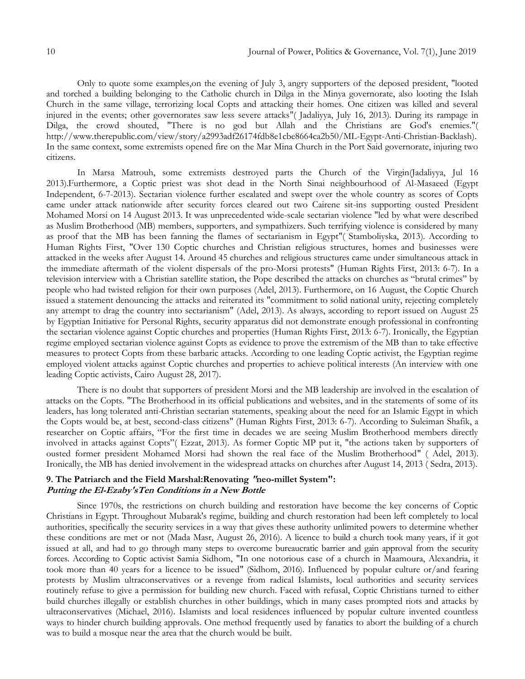Only to quote some examples,on the evening of July 3, angry supporters of the deposed president, "looted and torched a building belonging to the Catholic church in Dilga in the Minya governorate, also looting the Islah Church in the same village, terrorizing local Copts and attacking their homes. One citizen was killed and several injured in the events; other governorates saw less severe attacks"( Jadaliyya, July 16, 2013). During its rampage in Dilga, the crowd shouted, "There is no god but Allah and the Christians are God's enemies."( [http://www.therepublic.com/view/story/a2993adf26174fdb8e1cbe8664ca2b50/ML-Egypt-Anti-Christian-Backlash\)](http://www.therepublic.com/view/story/a2993adf26174fdb8e1cbe8664ca2b50/ML-Egypt-Anti-Christian-Backlash). In the same context, some extremists opened fire on the Mar Mina Church in the Port Said governorate, injuring two citizens.

In Marsa Matrouh, some extremists destroyed parts the Church of the Virgin(Jadaliyya, Jul 16 2013).Furthermore, a Coptic priest was shot dead in the North Sinai neighbourhood of Al-Masaeed (Egypt Independent, 6-7-2013). Sectarian violence further escalated and swept over the whole country as scores of Copts came under attack nationwide after security forces cleared out two Cairene sit-ins supporting ousted President Mohamed Morsi on 14 August 2013. It was unprecedented wide-scale sectarian violence "led by what were described as Muslim Brotherhood (MB) members, supporters, and sympathizers. Such terrifying violence is considered by many as proof that the MB has been fanning the flames of sectarianism in Egypt"( Stamboliyska, 2013). According to Human Rights First, "Over 130 Coptic churches and Christian religious structures, homes and businesses were attacked in the weeks after August 14. Around 45 churches and religious structures came under simultaneous attack in the immediate aftermath of the violent dispersals of the pro-Morsi protests" (Human Rights First, 2013: 6-7). In a television interview with a Christian satellite station, the Pope described the attacks on churches as "brutal crimes" by people who had twisted religion for their own purposes (Adel, 2013). Furthermore, on 16 August, the Coptic Church issued a statement denouncing the attacks and reiterated its "commitment to solid national unity, rejecting completely any attempt to drag the country into sectarianism" (Adel, 2013). As always, according to report issued on August 25 by Egyptian Initiative for Personal Rights, security apparatus did not demonstrate enough professional in confronting the sectarian violence against Coptic churches and properties (Human Rights First, 2013: 6-7). Ironically, the Egyptian regime employed sectarian violence against Copts as evidence to prove the extremism of the MB than to take effective measures to protect Copts from these barbaric attacks. According to one leading Coptic activist, the Egyptian regime employed violent attacks against Coptic churches and properties to achieve political interests (An interview with one leading Coptic activists, Cairo August 28, 2017).

There is no doubt that supporters of president Morsi and the MB leadership are involved in the escalation of attacks on the Copts. "The Brotherhood in its official publications and websites, and in the statements of some of its leaders, has long tolerated anti-Christian sectarian statements, speaking about the need for an Islamic Egypt in which the Copts would be, at best, second-class citizens" (Human Rights First, 2013: 6-7). According to Suleiman Shafik, a researcher on Coptic affairs, "For the first time in decades we are seeing Muslim Brotherhood members directly involved in attacks against Copts"(Ezzat, 2013). As former Coptic MP put it, "the actions taken by supporters of ousted former president Mohamed Morsi had shown the real face of the Muslim Brotherhood" ( Adel, 2013). Ironically, the MB has denied involvement in the widespread attacks on churches after August 14, 2013 ( [S](http://www.jadaliyya.com/pages/contributors/8502)edra, 2013).

### **9. The Patriarch and the Field Marshal:Renovating "neo-millet System": Putting the El-Ezaby'sTen Conditions in a New Bottle**

Since 1970s, the restrictions on church building and restoration have become the key concerns of Coptic Christians in Egypt. Throughout Mubarak's regime, building and church restoration had been left completely to local authorities, specifically the security services in a way that gives these authority unlimited powers to determine whether these conditions are met or not (Mada Masr, August 26, 2016). A licence to build a church took many years, if it got issued at all, and had to go through many steps to overcome bureaucratic barrier and gain approval from the security forces. According to Coptic activist Samia Sidhom, "In one notorious case of a church in Maamoura, Alexandria, it took more than 40 years for a licence to be issued" (Sidhom, 2016). Influenced by popular culture or/and fearing protests by Muslim ultraconservatives or a revenge from radical Islamists, local authorities and security services routinely refuse to give a permission for building new church. Faced with refusal, Coptic Christians turned to either build churches illegally or establish churches in other buildings, which in many cases prompted riots and attacks by ultraconservatives (Michael, 2016). Islamists and local residences influenced by popular culture invented countless ways to hinder church building approvals. One method frequently used by fanatics to abort the building of a church was to build a mosque near the area that the church would be built.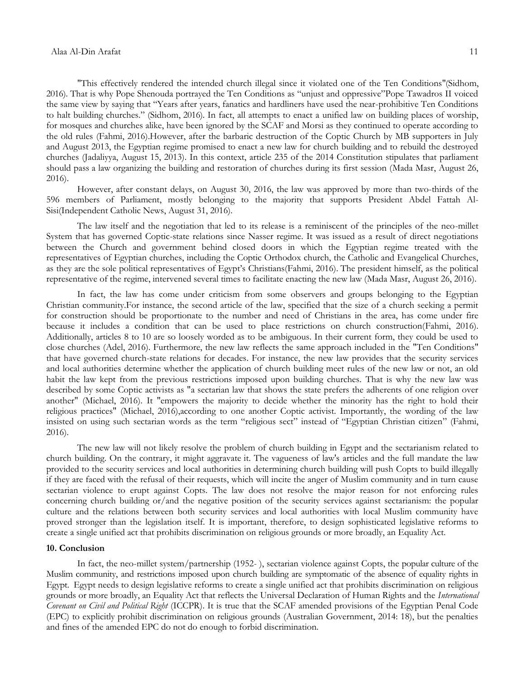#### Alaa Al-Din Arafat 11

"This effectively rendered the intended church illegal since it violated one of the Ten Conditions"(Sidhom, 2016). That is why Pope Shenouda portrayed the Ten Conditions as "unjust and oppressive"Pope Tawadros II voiced the same view by saying that "Years after years, fanatics and hardliners have used the near-prohibitive Ten Conditions to halt building churches.‖ (Sidhom, 2016). In fact, all attempts to enact a unified law on building places of worship, for mosques and churches alike, have been ignored by the SCAF and Morsi as they continued to operate according to the old rules (Fahmi, 2016).However, after the barbaric destruction of the Coptic Church by MB supporters in July and August 2013, the Egyptian regime promised to enact a new law for church building and to rebuild the destroyed churches (Jadaliyya, August 15, 2013). In this context, article 235 of the 2014 Constitution stipulates that parliament should pass a law organizing the building and restoration of churches during its first session (Mada Masr, August 26, 2016).

However, after constant delays, on August 30, 2016, the law was approved by more than two-thirds of the 596 members of Parliament, mostly belonging to the majority that supports President Abdel Fattah Al-Sisi[\(Independent Catholic News,](http://www.indcatholicnews.com/news.php?viewStory=30821) August 31, 2016).

The law itself and the negotiation that led to its release is a reminiscent of the principles of the neo-millet System that has governed Coptic-state relations since Nasser regime. It was issued as a result of direct negotiations between the Church and government behind closed doors in which the Egyptian regime treated with the representatives of Egyptian churches, including the Coptic Orthodox church, the Catholic and Evangelical Churches, as they are the sole political representatives of Egypt's Christians(Fahmi, 2016). The president himself, as the political representative of the regime, intervened several times to facilitate enacting the new law (Mada Masr, August 26, 2016).

In fact, the law has come under criticism from some observers and groups belonging to the Egyptian Christian community.For instance, the second article of the law, specified that the size of a church seeking a permit for construction should be proportionate to the number and need of Christians in the area, has come under fire because it includes a condition that can be used to place restrictions on church construction(Fahmi, 2016). Additionally, articles 8 to 10 are so loosely worded as to be ambiguous. In their current form, they could be used to close churches (Adel, 2016). Furthermore, the new law reflects the same approach included in the "Ten Conditions" that have governed church-state relations for decades. For instance, the new law provides that the security services and local authorities determine whether the application of church building meet rules of the new law or not, an old habit the law kept from the previous restrictions imposed upon building churches. That is why the new law was described by some Coptic activists as "a sectarian law that shows the state prefers the adherents of one religion over another" (Michael, 2016). It "empowers the majority to decide whether the minority has the right to hold their religious practices" (Michael, 2016),according to one another Coptic activist. Importantly, the wording of the law insisted on using such sectarian words as the term "religious sect" instead of "Egyptian Christian citizen" (Fahmi, 2016).

The new law will not likely resolve the problem of church building in Egypt and the sectarianism related to church building. On the contrary, it might aggravate it. The vagueness of law's articles and the full mandate the law provided to the security services and local authorities in determining church building will push Copts to build illegally if they are faced with the refusal of their requests, which will incite the anger of Muslim community and in turn cause sectarian violence to erupt against Copts. The law does not resolve the major reason for not enforcing rules concerning church building or/and the negative position of the security services against sectarianism: the popular culture and the relations between both security services and local authorities with local Muslim community have proved stronger than the legislation itself. It is important, therefore, to design sophisticated legislative reforms to create a single unified act that prohibits discrimination on religious grounds or more broadly, an Equality Act.

### **10. Conclusion**

In fact, the neo-millet system/partnership (1952- ), sectarian violence against Copts, the popular culture of the Muslim community, and restrictions imposed upon church building are symptomatic of the absence of equality rights in Egypt. Egypt needs to design legislative reforms to create a single unified act that prohibits discrimination on religious grounds or more broadly, an Equality Act that reflects the Universal Declaration of Human Rights and the *International Covenant on Civil and Political Right* (ICCPR). It is true that the SCAF amended provisions of the Egyptian Penal Code (EPC) to explicitly prohibit discrimination on religious grounds (Australian Government, 2014: 18), but the penalties and fines of the amended EPC do not do enough to forbid discrimination.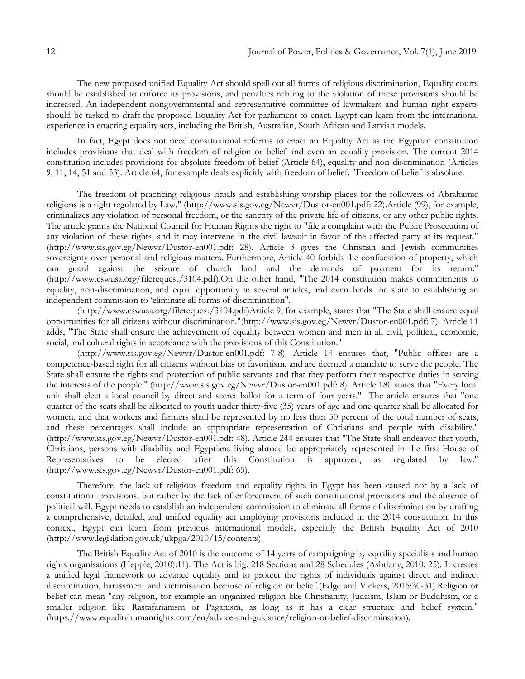The new proposed unified Equality Act should spell out all forms of religious discrimination, Equality courts should be established to enforce its provisions, and penalties relating to the violation of these provisions should be increased. An independent nongovernmental and representative committee of lawmakers and human right experts should be tasked to draft the proposed Equality Act for parliament to enact. Egypt can learn from the international experience in enacting equality acts, including the British, Australian, South African and Latvian models.

In fact, Egypt does not need constitutional reforms to enact an Equality Act as the Egyptian constitution includes provisions that deal with freedom of religion or belief and even an equality provision. The current 2014 constitution includes provisions for absolute freedom of belief (Article 64), equality and non-discrimination (Articles 9, 11, 14, 51 and 53). Article 64, for example deals explicitly with freedom of belief: "Freedom of belief is absolute.

The freedom of practicing religious rituals and establishing worship places for the followers of Abrahamic religions is a right regulated by Law." [\(http://www.sis.gov.eg/Newvr/Dustor-en001.pdf:](http://www.sis.gov.eg/Newvr/Dustor-en001.pdf) 22).Article (99), for example, criminalizes any violation of personal freedom, or the sanctity of the private life of citizens, or any other public rights. The article grants the National Council for Human Rights the right to "file a complaint with the Public Prosecution of any violation of these rights, and it may intervene in the civil lawsuit in favor of the affected party at its request." [\(http://www.sis.gov.eg/Newvr/Dustor-en001.pdf:](http://www.sis.gov.eg/Newvr/Dustor-en001.pdf) 28). Article 3 gives the Christian and Jewish communities sovereignty over personal and religious matters. Furthermore, Article 40 forbids the confiscation of property, which can guard against the seizure of church land and the demands of payment for its return." [\(http://www.cswusa.org/filerequest/3104.pdf\)](http://www.cswusa.org/filerequest/3104.pdf).On the other hand, "The 2014 constitution makes commitments to equality, non-discrimination, and equal opportunity in several articles, and even binds the state to establishing an independent commission to 'eliminate all forms of discrimination".

[\(http://www.cswusa.org/filerequest/3104.pdf\)](http://www.cswusa.org/filerequest/3104.pdf)Article 9, for example, states that "The State shall ensure equal opportunities for all citizens without discrimination."[\(http://www.sis.gov.eg/Newvr/Dustor-en001.pdf:](http://www.sis.gov.eg/Newvr/Dustor-en001.pdf) 7). Article 11 adds, "The State shall ensure the achievement of equality between women and men in all civil, political, economic, social, and cultural rights in accordance with the provisions of this Constitution."

[\(http://www.sis.gov.eg/Newvr/Dustor-en001.pdf:](http://www.sis.gov.eg/Newvr/Dustor-en001.pdf) 7-8). Article 14 ensures that, "Public offices are a competence-based right for all citizens without bias or favoritism, and are deemed a mandate to serve the people. The State shall ensure the rights and protection of public servants and that they perform their respective duties in serving the interests of the people." [\(http://www.sis.gov.eg/Newvr/Dustor-en001.pdf:](http://www.sis.gov.eg/Newvr/Dustor-en001.pdf) 8). Article 180 states that "Every local unit shall elect a local council by direct and secret ballot for a term of four years." The article ensures that "one quarter of the seats shall be allocated to youth under thirty-five (35) years of age and one quarter shall be allocated for women, and that workers and farmers shall be represented by no less than 50 percent of the total number of seats, and these percentages shall include an appropriate representation of Christians and people with disability." [\(http://www.sis.gov.eg/Newvr/Dustor-en001.pdf:](http://www.sis.gov.eg/Newvr/Dustor-en001.pdf) 48). Article 244 ensures that "The State shall endeavor that youth, Christians, persons with disability and Egyptians living abroad be appropriately represented in the first House of Representatives to be elected after this Constitution is approved, as regulated by law." [\(http://www.sis.gov.eg/Newvr/Dustor-en001.pdf:](http://www.sis.gov.eg/Newvr/Dustor-en001.pdf) 65).

Therefore, the lack of religious freedom and equality rights in Egypt has been caused not by a lack of constitutional provisions, but rather by the lack of enforcement of such constitutional provisions and the absence of political will. Egypt needs to establish an independent commission to eliminate all forms of discrimination by drafting a comprehensive, detailed, and unified equality act employing provisions included in the 2014 constitution. In this context, Egypt can learn from previous international models, especially the British Equality Act of 2010 [\(http://www.legislation.gov.uk/ukpga/2010/15/contents\)](http://www.legislation.gov.uk/ukpga/2010/15/contents).

The British Equality Act of 2010 is the outcome of 14 years of campaigning by equality specialists and human rights organisations (Hepple, 2010):11). The Act is big: 218 Sections and 28 Schedules (Ashtiany, 2010: 25). It creates a unified legal framework to advance equality and to protect the rights of individuals against direct and indirect discrimination, harassment and victimisation because of religion or belief.(Edge and Vickers, 2015:30-31).Religion or belief can mean "any religion, for example an organized religion like Christianity, Judaism, Islam or Buddhism, or a smaller religion like Rastafarianism or Paganism, as long as it has a clear structure and belief system." [\(https://www.equalityhumanrights.com/en/advice-and-guidance/religion-or-belief-discrimination\)](https://www.equalityhumanrights.com/en/advice-and-guidance/religion-or-belief-discrimination).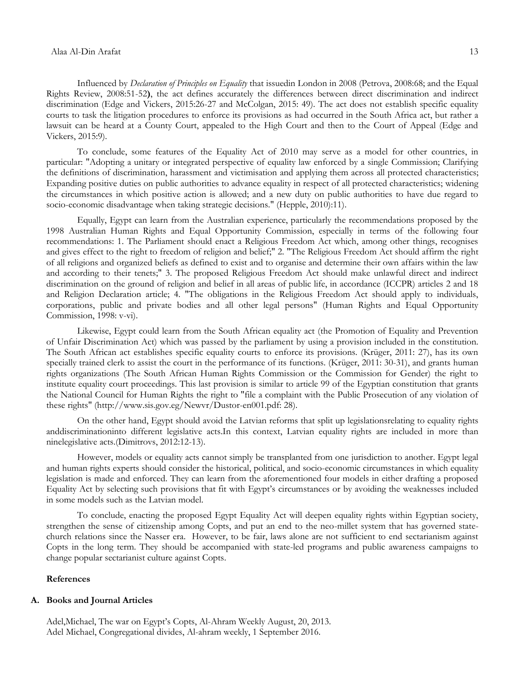#### Alaa Al-Din Arafat 13

Influenced by *Declaration of Principles on Equality* that issuedin London in 2008 (Petrova, 2008:68; and the Equal Rights Review, 2008:51-52**)**, the act defines accurately the differences between direct discrimination and indirect discrimination (Edge and Vickers, 2015:26-27 and McColgan, 2015: 49). The act does not establish specific equality courts to task the litigation procedures to enforce its provisions as had occurred in the South Africa act, but rather a lawsuit can be heard at a County Court, appealed to the High Court and then to the Court of Appeal (Edge and Vickers, 2015:9).

To conclude, some features of the Equality Act of 2010 may serve as a model for other countries, in particular: "Adopting a unitary or integrated perspective of equality law enforced by a single Commission; Clarifying the definitions of discrimination, harassment and victimisation and applying them across all protected characteristics; Expanding positive duties on public authorities to advance equality in respect of all protected characteristics; widening the circumstances in which positive action is allowed; and a new duty on public authorities to have due regard to socio-economic disadvantage when taking strategic decisions." (Hepple, 2010):11).

Equally, Egypt can learn from the Australian experience, particularly the recommendations proposed by the 1998 Australian Human Rights and Equal Opportunity Commission, especially in terms of the following four recommendations: 1. The Parliament should enact a Religious Freedom Act which, among other things, recognises and gives effect to the right to freedom of religion and belief;" 2. "The Religious Freedom Act should affirm the right of all religions and organized beliefs as defined to exist and to organise and determine their own affairs within the law and according to their tenets;" 3. The proposed Religious Freedom Act should make unlawful direct and indirect discrimination on the ground of religion and belief in all areas of public life, in accordance (ICCPR) articles 2 and 18 and Religion Declaration article; 4. "The obligations in the Religious Freedom Act should apply to individuals, corporations, public and private bodies and all other legal persons" (Human Rights and Equal Opportunity Commission, 1998: v-vi).

Likewise, Egypt could learn from the South African equality act (the Promotion of Equality and Prevention of Unfair Discrimination Act) which was passed by the parliament by using a provision included in the constitution. The South African act establishes specific equality courts to enforce its provisions. (Krüger, 2011: 27), has its own specially trained clerk to assist the court in the performance of its functions. (Krüger, 2011: 30-31), and grants human rights organizations (The South African Human Rights Commission or the Commission for Gender) the right to institute equality court proceedings. This last provision is similar to article 99 of the Egyptian constitution that grants the National Council for Human Rights the right to "file a complaint with the Public Prosecution of any violation of these rights" [\(http://www.sis.gov.eg/Newvr/Dustor-en001.pdf:](http://www.sis.gov.eg/Newvr/Dustor-en001.pdf) 28).

On the other hand, Egypt should avoid the Latvian reforms that split up legislationsrelating to equality rights anddiscriminationinto different legislative acts.In this context, Latvian equality rights are included in more than ninelegislative acts.(Dimitrovs, 2012:12-13).

However, models or equality acts cannot simply be transplanted from one jurisdiction to another. Egypt legal and human rights experts should consider the historical, political, and socio-economic circumstances in which equality legislation is made and enforced. They can learn from the aforementioned four models in either drafting a proposed Equality Act by selecting such provisions that fit with Egypt's circumstances or by avoiding the weaknesses included in some models such as the Latvian model.

To conclude, enacting the proposed Egypt Equality Act will deepen equality rights within Egyptian society, strengthen the sense of citizenship among Copts, and put an end to the neo-millet system that has governed statechurch relations since the Nasser era. However, to be fair, laws alone are not sufficient to end sectarianism against Copts in the long term. They should be accompanied with state-led programs and public awareness campaigns to change popular sectarianist culture against Copts.

### **References**

# **A. Books and Journal Articles**

Adel,Michael, The war on Egypt's Copts, Al-Ahram Weekly August, 20, 2013. Adel Michael, Congregational divides, Al-ahram weekly, 1 September 2016.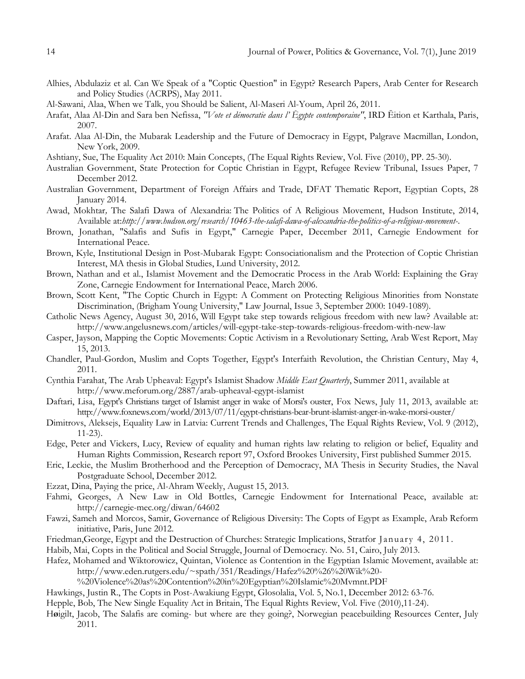- Alhies, Abdulaziz et al. Can We Speak of a "Coptic Question" in Egypt? Research Papers, Arab Center for Research and Policy Studies (ACRPS), May 2011.
- Al-Sawani, Alaa, When we Talk, you Should be Salient, Al-Maseri Al-Youm, April 26, 2011.
- Arafat, Alaa Al-Din and Sara ben Nefissa, *"Vote et démocratie dans l' Ēgypte contemporaine"*, IRD Ēition et Karthala, Paris, 2007.
- Arafat. Alaa Al-Din, the Mubarak Leadership and the Future of Democracy in Egypt, Palgrave Macmillan, London, New York, 2009.
- Ashtiany, Sue, The Equality Act 2010: Main Concepts, (The Equal Rights Review, Vol. Five (2010), PP. 25-30).
- Australian Government, State Protection for Coptic Christian in Egypt, Refugee Review Tribunal, Issues Paper, 7 December 2012.
- Australian Government, Department of Foreign Affairs and Trade, DFAT Thematic Report, Egyptian Copts, 28 January 2014.
- Awad, Mokhtar*,* The Salafi Dawa of Alexandria: The Politics of A Religious Movement, Hudson Institute, 2014, Available at:*<http://www.hudson.org/research/10463-the-salafi-dawa-of-alexandria-the-politics-of-a-religious-movement->*.
- Brown, Jonathan, "Salafis and Sufis in Egypt," Carnegie Paper, December 2011, Carnegie Endowment for International Peace.
- Brown, Kyle, Institutional Design in Post-Mubarak Egypt: Consociationalism and the Protection of Coptic Christian Interest, MA thesis in Global Studies, Lund University, 2012.
- Brown, Nathan and et al., Islamist Movement and the Democratic Process in the Arab World: Explaining the Gray Zone, Carnegie Endowment for International Peace, March 2006.
- Brown, Scott Kent, "The Coptic Church in Egypt: A Comment on Protecting Religious Minorities from Nonstate Discrimination, (Brigham Young University," Law Journal, Issue 3, September 2000: 1049-1089).
- [Catholic](http://www.angelusnews.com/author?author=Catholic+News+Agency) News Agency, August 30, 2016, Will Egypt take step towards religious freedom with new law? Available at: <http://www.angelusnews.com/articles/will-egypt-take-step-towards-religious-freedom-with-new-law>
- Casper, Jayson, Mapping the Coptic Movements: Coptic Activism in a Revolutionary Setting, Arab West Report, May 15, 2013.
- Chandler, Paul-Gordon, Muslim and Copts Together, Egypt's Interfaith Revolution, the Christian Century, May 4, 2011.
- Cynthia Farahat, The Arab Upheaval: Egypt's Islamist Shadow *Middle East Quarterly*, Summer 2011, available at <http://www.meforum.org/2887/arab-upheaval-egypt-islamist>
- Daftari, Lisa, Egypt's Christians target of Islamist anger in wake of Morsi's ouster, Fox News, July 11, 2013, available at: <http://www.foxnews.com/world/2013/07/11/egypt-christians-bear-brunt-islamist-anger-in-wake-morsi-ouster/>
- Dimitrovs, Aleksejs, Equality Law in Latvia: Current Trends and Challenges, The Equal Rights Review, Vol. 9 (2012), 11-23).
- Edge, Peter and Vickers, Lucy, Review of equality and human rights law relating to religion or belief, Equality and Human Rights Commission, Research report 97, Oxford Brookes University, First published Summer 2015.
- Eric, Leckie, the Muslim Brotherhood and the Perception of Democracy, MA Thesis in Security Studies, the Naval Postgraduate School, December 2012.
- Ezzat, Dina, Paying the price, Al-Ahram Weekly, August 15, 2013.
- Fahmi, Georges, A New Law in Old Bottles, Carnegie Endowment for International Peace, available at: <http://carnegie-mec.org/diwan/64602>
- Fawzi, Sameh and Morcos, Samir, Governance of Religious Diversity: The Copts of Egypt as Example, Arab Reform initiative, Paris, June 2012.
- Friedman,George, Egypt and the Destruction of Churches: Strategic Implications, Stratfor January 4, 2011 .
- Habib, Mai, Copts in the Political and Social Struggle, Journal of Democracy. No. 51, Cairo, July 2013.
- Hafez, Mohamed and Wiktorowicz, Quintan, Violence as Contention in the Egyptian Islamic Movement, available at: [http://www.eden.rutgers.edu/~spath/351/Readings/Hafez%20%26%20Wik%20-](http://www.eden.rutgers.edu/~spath/351/Readings/Hafez%20%26%20Wik%20-%20Violence%20as%20Contention%20in%20Egyptian%20Islamic%20Mvmnt.PDF)

[%20Violence%20as%20Contention%20in%20Egyptian%20Islamic%20Mvmnt.PDF](http://www.eden.rutgers.edu/~spath/351/Readings/Hafez%20%26%20Wik%20-%20Violence%20as%20Contention%20in%20Egyptian%20Islamic%20Mvmnt.PDF)

- Hawkings, Justin R., The Copts in Post-Awakiung Egypt, Glosolalia, Vol. 5, No.1, December 2012: 63-76.
- Hepple, Bob, The New Single Equality Act in Britain, The Equal Rights Review, Vol. Five (2010),11-24).
- H**ø**igilt, Jacob, The Salafis are coming- but where are they going?, Norwegian peacebuilding Resources Center, July 2011.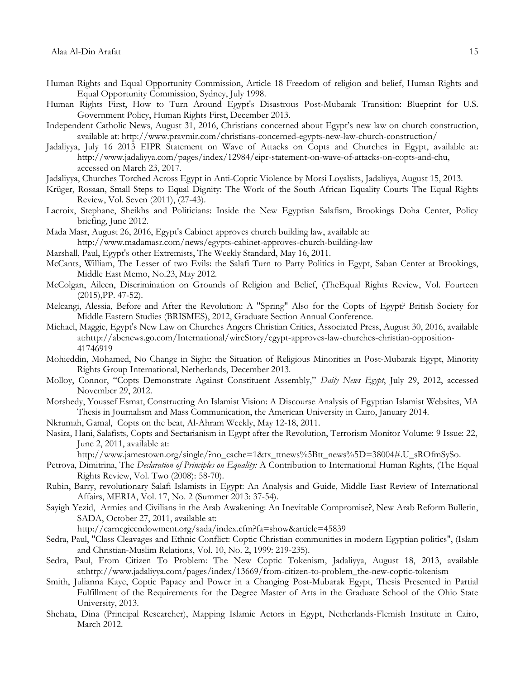- Human Rights and Equal Opportunity Commission, Article 18 Freedom of religion and belief, Human Rights and Equal Opportunity Commission, Sydney, July 1998.
- Human Rights First, How to Turn Around Egypt's Disastrous Post-Mubarak Transition: Blueprint for U.S. Government Policy, Human Rights First, December 2013.
- [Independent Catholic News](http://www.indcatholicnews.com/news.php?viewStory=30821), August 31, 2016, Christians concerned about Egypt's new law on church construction, available at:<http://www.pravmir.com/christians-concerned-egypts-new-law-church-construction/>
- Jadaliyya, July 16 2013 [EIPR Statement on Wave of Attacks on Copts and Churches in Egypt,](http://www.jadaliyya.com/pages/index/12984/eipr-statement-on-wave-of-attacks-on-copts-and-chu) available at: [http://www.jadaliyya.com/pages/index/12984/eipr-statement-on-wave-of-attacks-on-copts-and-chu,](http://www.jadaliyya.com/pages/index/12984/eipr-statement-on-wave-of-attacks-on-copts-and-chu) accessed on March 23, 2017.
- Jadaliyya, [Churches Torched Across Egypt in Anti-Coptic Violence by Morsi Loyalists,](http://www.jadaliyya.com/pages/index/13609/churches-torched-across-egypt-in-anti-coptic-viole) Jadaliyya, August 15, 2013.
- Krüger, Rosaan, Small Steps to Equal Dignity: The Work of the South African Equality Courts The Equal Rights Review, Vol. Seven (2011), (27-43).
- Lacroix, Stephane, Sheikhs and Politicians: Inside the New Egyptian Salafism, Brookings Doha Center, Policy briefing, June 2012.
- Mada Masr, August 26, 2016, Egypt's Cabinet approves church building law, available at: <http://www.madamasr.com/news/egypts-cabinet-approves-church-building-law>
- Marshall, Paul, Egypt's other Extremists, The Weekly Standard, May 16, 2011.
- McCants, William, The Lesser of two Evils: the Salafi Turn to Party Politics in Egypt, Saban Center at Brookings, Middle East Memo, No.23, May 2012.
- McColgan, Aileen, Discrimination on Grounds of Religion and Belief, (TheEqual Rights Review, Vol. Fourteen (2015),PP. 47-52).
- Melcangi, Alessia, Before and After the Revolution: A "Spring" Also for the Copts of Egypt? British Society for Middle Eastern Studies (BRISMES), 2012, Graduate Section Annual Conference.
- Michael, Maggie, Egypt's New Law on Churches Angers Christian Critics, Associated Press, August 30, 2016, available at[:http://abcnews.go.com/International/wireStory/egypt-approves-law-churches-christian-opposition-](http://abcnews.go.com/International/wireStory/egypt-approves-law-churches-christian-opposition-41746919)[41746919](http://abcnews.go.com/International/wireStory/egypt-approves-law-churches-christian-opposition-41746919)
- Mohieddin, Mohamed, No Change in Sight: the Situation of Religious Minorities in Post-Mubarak Egypt, Minority Rights Group International, Netherlands, December 2013.
- Molloy, Connor, "Copts Demonstrate Against Constituent Assembly," Daily News Egypt, July 29, 2012, accessed November 29, 2012.
- Morshedy, Youssef Esmat, Constructing An Islamist Vision: A Discourse Analysis of Egyptian Islamist Websites, MA Thesis in Journalism and Mass Communication, the American University in Cairo, January 2014.
- [Nkrumah, Gamal,](mailto:dezzat@ahram.org.eg?subject=Egypt%20::%20) Copts on the beat, Al-Ahram Weekly, May 12-18, 2011.
- [Nasira,](http://www.jamestown.org/articles-by-author/?no_cache=1&tx_cablanttnewsstaffrelation_pi1%5Bauthor%5D=595) Hani, Salafists, Copts and Sectarianism in Egypt after the Revolution, Terrorism Monitor Volume: 9 Issue: 22, June 2, 2011, available at:

[http://www.jamestown.org/single/?no\\_cache=1&tx\\_ttnews%5Btt\\_news%5D=38004#.U\\_sROfmSySo.](http://www.jamestown.org/single/?no_cache=1&tx_ttnews%5Btt_news%5D=38004#.U_sROfmSySo)

- Petrova, Dimitrina, The *Declaration of Principles on Equality:* A Contribution to International Human Rights, (The Equal Rights Review, Vol. Two (2008): 58-70).
- Rubin, Barry, revolutionary Salafi Islamists in Egypt: An Analysis and Guide, Middle East Review of International Affairs, MERIA, Vol. 17, No. 2 (Summer 2013: 37-54).
- Sayigh Yezid, Armies and Civilians in the Arab Awakening: An Inevitable Compromise?, New Arab Reform Bulletin, SADA, October 27, 2011, available at:

<http://carnegieendowment.org/sada/index.cfm?fa=show&article=45839>

- Sedra, Paul, "Class Cleavages and Ethnic Conflict: Coptic Christian communities in modern Egyptian politics", (Islam and Christian-Muslim Relations, Vol. 10, No. 2, 1999: 219-235).
- [Sedra,](http://www.jadaliyya.com/pages/contributors/8502) Paul, [From Citizen To Problem: The New Coptic Tokenism,](http://www.jadaliyya.com/pages/index/13669/from-citizen-to-problem_the-new-coptic-tokenism) Jadaliyya, August 18, 2013, available at[:http://www.jadaliyya.com/pages/index/13669/from-citizen-to-problem\\_the-new-coptic-tokenism](http://www.jadaliyya.com/pages/index/13669/from-citizen-to-problem_the-new-coptic-tokenism)
- Smith, Julianna Kaye, Coptic Papacy and Power in a Changing Post-Mubarak Egypt, Thesis Presented in Partial Fulfillment of the Requirements for the Degree Master of Arts in the Graduate School of the Ohio State University, 2013.
- Shehata, Dina (Principal Researcher), Mapping Islamic Actors in Egypt, Netherlands-Flemish Institute in Cairo, March 2012.